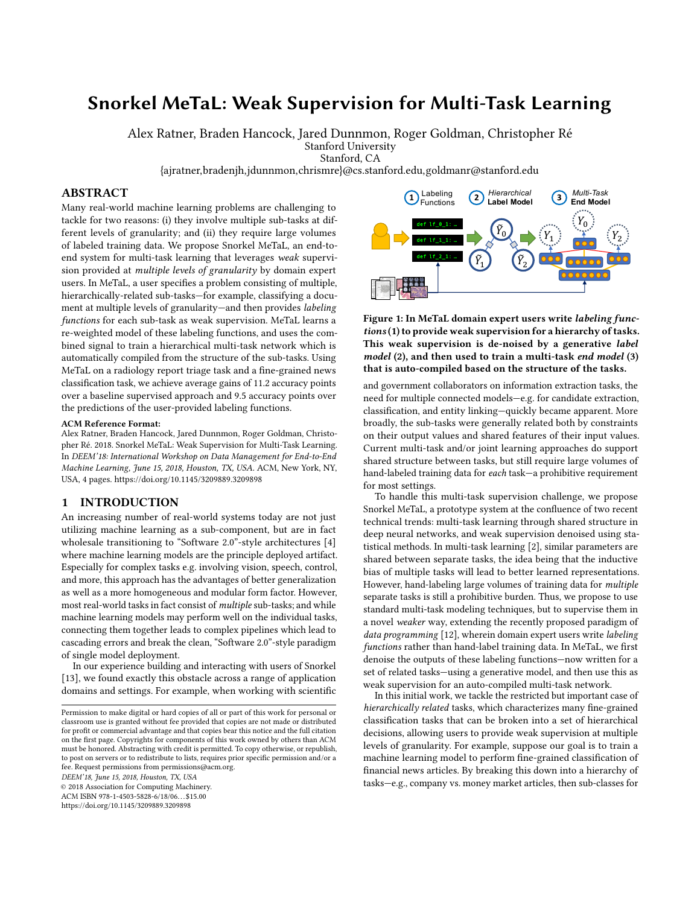# Snorkel MeTaL: Weak Supervision for Multi-Task Learning

Alex Ratner, Braden Hancock, Jared Dunnmon, Roger Goldman, Christopher Ré

Stanford University Stanford, CA

{ajratner,bradenjh,jdunnmon,chrismre}@cs.stanford.edu,goldmanr@stanford.edu

# ABSTRACT

Many real-world machine learning problems are challenging to tackle for two reasons: (i) they involve multiple sub-tasks at different levels of granularity; and (ii) they require large volumes of labeled training data. We propose Snorkel MeTaL, an end-toend system for multi-task learning that leverages weak supervision provided at multiple levels of granularity by domain expert users. In MeTaL, a user specifies a problem consisting of multiple, hierarchically-related sub-tasks—for example, classifying a document at multiple levels of granularity—and then provides labeling functions for each sub-task as weak supervision. MeTaL learns a re-weighted model of these labeling functions, and uses the combined signal to train a hierarchical multi-task network which is automatically compiled from the structure of the sub-tasks. Using MeTaL on a radiology report triage task and a fine-grained news classification task, we achieve average gains of 11.2 accuracy points over a baseline supervised approach and 9.5 accuracy points over the predictions of the user-provided labeling functions.

#### ACM Reference Format:

Alex Ratner, Braden Hancock, Jared Dunnmon, Roger Goldman, Christopher Ré. 2018. Snorkel MeTaL: Weak Supervision for Multi-Task Learning. In DEEM'18: International Workshop on Data Management for End-to-End Machine Learning, June 15, 2018, Houston, TX, USA. ACM, New York, NY, USA, [4](#page-3-0) pages.<https://doi.org/10.1145/3209889.3209898>

# 1 INTRODUCTION

An increasing number of real-world systems today are not just utilizing machine learning as a sub-component, but are in fact wholesale transitioning to "Software 2.0"-style architectures [\[4\]](#page-3-1) where machine learning models are the principle deployed artifact. Especially for complex tasks e.g. involving vision, speech, control, and more, this approach has the advantages of better generalization as well as a more homogeneous and modular form factor. However, most real-world tasks in fact consist of multiple sub-tasks; and while machine learning models may perform well on the individual tasks, connecting them together leads to complex pipelines which lead to cascading errors and break the clean, "Software 2.0"-style paradigm of single model deployment.

In our experience building and interacting with users of Snorkel [\[13\]](#page-3-2), we found exactly this obstacle across a range of application domains and settings. For example, when working with scientific

DEEM'18, June 15, 2018, Houston, TX, USA

© 2018 Association for Computing Machinery.

ACM ISBN 978-1-4503-5828-6/18/06. . . \$15.00

<https://doi.org/10.1145/3209889.3209898>

<span id="page-0-0"></span>

Figure 1: In MeTaL domain expert users write labeling functions (1) to provide weak supervision for a hierarchy of tasks. This weak supervision is de-noised by a generative label model (2), and then used to train a multi-task end model (3) that is auto-compiled based on the structure of the tasks.

and government collaborators on information extraction tasks, the need for multiple connected models—e.g. for candidate extraction, classification, and entity linking—quickly became apparent. More broadly, the sub-tasks were generally related both by constraints on their output values and shared features of their input values. Current multi-task and/or joint learning approaches do support shared structure between tasks, but still require large volumes of hand-labeled training data for each task—a prohibitive requirement for most settings.

To handle this multi-task supervision challenge, we propose Snorkel MeTaL, a prototype system at the confluence of two recent technical trends: multi-task learning through shared structure in deep neural networks, and weak supervision denoised using statistical methods. In multi-task learning [\[2\]](#page-3-3), similar parameters are shared between separate tasks, the idea being that the inductive bias of multiple tasks will lead to better learned representations. However, hand-labeling large volumes of training data for multiple separate tasks is still a prohibitive burden. Thus, we propose to use standard multi-task modeling techniques, but to supervise them in a novel weaker way, extending the recently proposed paradigm of data programming [\[12\]](#page-3-4), wherein domain expert users write labeling functions rather than hand-label training data. In MeTaL, we first denoise the outputs of these labeling functions—now written for a set of related tasks—using a generative model, and then use this as weak supervision for an auto-compiled multi-task network.

In this initial work, we tackle the restricted but important case of hierarchically related tasks, which characterizes many fine-grained classification tasks that can be broken into a set of hierarchical decisions, allowing users to provide weak supervision at multiple levels of granularity. For example, suppose our goal is to train a machine learning model to perform fine-grained classification of financial news articles. By breaking this down into a hierarchy of tasks—e.g., company vs. money market articles, then sub-classes for

Permission to make digital or hard copies of all or part of this work for personal or classroom use is granted without fee provided that copies are not made or distributed for profit or commercial advantage and that copies bear this notice and the full citation on the first page. Copyrights for components of this work owned by others than ACM must be honored. Abstracting with credit is permitted. To copy otherwise, or republish, to post on servers or to redistribute to lists, requires prior specific permission and/or a fee. Request permissions from permissions@acm.org.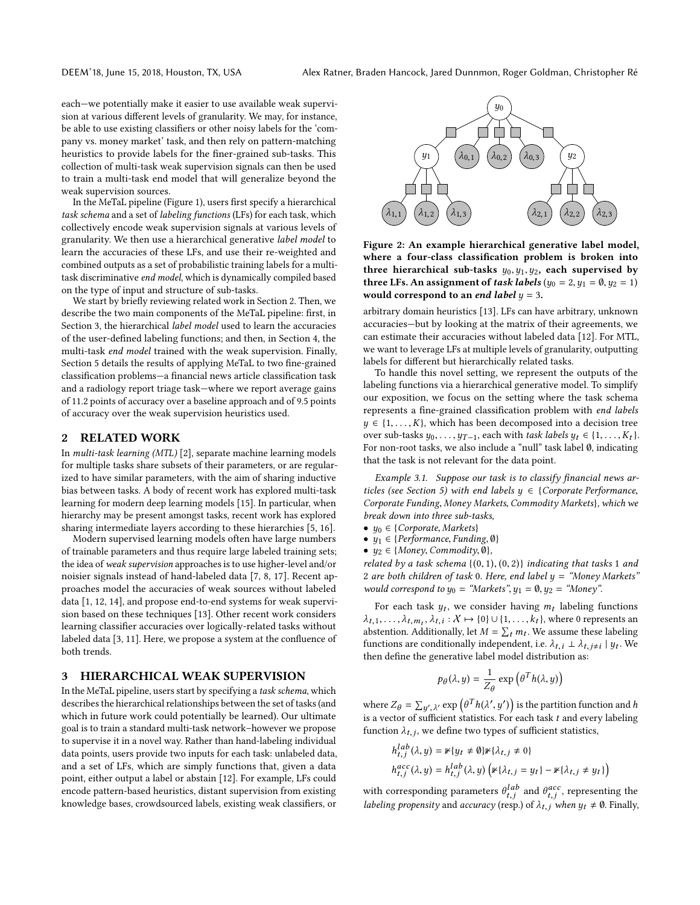each—we potentially make it easier to use available weak supervision at various different levels of granularity. We may, for instance, be able to use existing classifiers or other noisy labels for the 'company vs. money market' task, and then rely on pattern-matching heuristics to provide labels for the finer-grained sub-tasks. This collection of multi-task weak supervision signals can then be used to train a multi-task end model that will generalize beyond the weak supervision sources.

In the MeTaL pipeline (Figure [1\)](#page-0-0), users first specify a hierarchical task schema and a set of labeling functions (LFs) for each task, which collectively encode weak supervision signals at various levels of granularity. We then use a hierarchical generative label model to learn the accuracies of these LFs, and use their re-weighted and combined outputs as a set of probabilistic training labels for a multitask discriminative end model, which is dynamically compiled based on the type of input and structure of sub-tasks.

We start by briefly reviewing related work in Section [2.](#page-1-0) Then, we describe the two main components of the MeTaL pipeline: first, in Section [3,](#page-1-1) the hierarchical label model used to learn the accuracies of the user-defined labeling functions; and then, in Section [4,](#page-2-0) the multi-task end model trained with the weak supervision. Finally, Section [5](#page-2-1) details the results of applying MeTaL to two fine-grained classification problems—a financial news article classification task and a radiology report triage task—where we report average gains of 11.2 points of accuracy over a baseline approach and of 9.5 points of accuracy over the weak supervision heuristics used.

#### <span id="page-1-0"></span>2 RELATED WORK

In multi-task learning (MTL) [\[2\]](#page-3-3), separate machine learning models for multiple tasks share subsets of their parameters, or are regularized to have similar parameters, with the aim of sharing inductive bias between tasks. A body of recent work has explored multi-task learning for modern deep learning models [\[15\]](#page-3-5). In particular, when hierarchy may be present amongst tasks, recent work has explored sharing intermediate layers according to these hierarchies [\[5,](#page-3-6) [16\]](#page-3-7).

Modern supervised learning models often have large numbers of trainable parameters and thus require large labeled training sets; the idea of weak supervision approaches is to use higher-level and/or noisier signals instead of hand-labeled data [\[7,](#page-3-8) [8,](#page-3-9) [17\]](#page-3-10). Recent approaches model the accuracies of weak sources without labeled data [\[1,](#page-3-11) [12,](#page-3-4) [14\]](#page-3-12), and propose end-to-end systems for weak supervision based on these techniques [\[13\]](#page-3-2). Other recent work considers learning classifier accuracies over logically-related tasks without labeled data [\[3,](#page-3-13) [11\]](#page-3-14). Here, we propose a system at the confluence of both trends.

# <span id="page-1-1"></span>3 HIERARCHICAL WEAK SUPERVISION

In the MeTaL pipeline, users start by specifying a task schema, which describes the hierarchical relationships between the set of tasks (and which in future work could potentially be learned). Our ultimate goal is to train a standard multi-task network–however we propose to supervise it in a novel way. Rather than hand-labeling individual data points, users provide two inputs for each task: unlabeled data, and a set of LFs, which are simply functions that, given a data point, either output a label or abstain [\[12\]](#page-3-4). For example, LFs could encode pattern-based heuristics, distant supervision from existing knowledge bases, crowdsourced labels, existing weak classifiers, or



Figure 2: An example hierarchical generative label model, where a four-class classification problem is broken into three hierarchical sub-tasks  $y_0, y_1, y_2$ , each supervised by three LFs. An assignment of task labels  $(y_0 = 2, y_1 = 0, y_2 = 1)$ would correspond to an *end label*  $y = 3$ .

arbitrary domain heuristics [\[13\]](#page-3-2). LFs can have arbitrary, unknown accuracies—but by looking at the matrix of their agreements, we can estimate their accuracies without labeled data [\[12\]](#page-3-4). For MTL, we want to leverage LFs at multiple levels of granularity, outputting labels for different but hierarchically related tasks.

To handle this novel setting, we represent the outputs of the labeling functions via a hierarchical generative model. To simplify our exposition, we focus on the setting where the task schema represents a fine-grained classification problem with end labels  $y \in \{1, \ldots, K\}$ , which has been decomposed into a decision tree over sub-tasks  $y_0, \ldots, y_{T-1}$ , each with task labels  $y_t \in \{1, \ldots, K_t\}$ . For non-root tasks, we also include a "null" task label ∅, indicating that the task is not relevant for the data point.

<span id="page-1-2"></span>Example 3.1. Suppose our task is to classify financial news ar-ticles (see Section [5\)](#page-2-1) with end labels  $y \in \{C$ orporate Performance, Corporate Funding, Money Markets, Commodity Markets}, which we break down into three sub-tasks,

- $y_0 \in \{Corporate, Markets\}$
- $y_1 \in \{Performance, Funding, \emptyset\}$
- $y_2 \in \{Money, Commonity, \emptyset\},\$

related by a task schema  $\{(0, 1), (0, 2)\}$  indicating that tasks 1 and 2 are both children of task 0. Here, end label  $y =$  "Money Markets" would correspond to  $y_0 =$  "Markets",  $y_1 = \emptyset$ ,  $y_2 =$  "Money".

For each task  $y_t$ , we consider having  $m_t$  labeling functions  $\lambda_{t,1}, \ldots, \lambda_{t,m_t}, \lambda_{t,i} : X \mapsto \{0\} \cup \{1, \ldots, k_t\}$ , where 0 represents an abstantion Additionally let  $M - \sum m$ . We assume these labeling abstention. Additionally, let  $M = \sum_t m_t$ . We assume these labeling<br>functions are conditionally independent i.e.  $\lambda_{t+1}$ ,  $\lambda_{t+1}$ ,  $M_t$ functions are conditionally independent, i.e.  $\lambda_{t,i} \perp \lambda_{t,j \neq i} | y_t$ . We then define the generative lebel model distribution as: then define the generative label model distribution as:

$$
p_{\theta}(\lambda, y) = \frac{1}{Z_{\theta}} \exp \left( \theta^{T} h(\lambda, y) \right)
$$

where  $Z_{\theta} = \sum_{y', \lambda'} \exp\left(\theta^{T} h(\lambda', y')\right)$  is the partition function and h<br>is a vector of sufficient statistics. For each task t and every labeling is a vector of sufficient statistics. For each task  $t$  and every labeling function  $\lambda_{t,j}$ , we define two types of sufficient statistics,

$$
h_{t,j}^{lab}(\lambda, y) = \mathbb{1}_{\{y_t \neq \emptyset\}} \mathbb{1}_{\{\lambda_{t,j} \neq 0\}}
$$
  

$$
h_{t,j}^{acc}(\lambda, y) = h_{t,j}^{lab}(\lambda, y) \left( \mathbb{1}_{\{\lambda_{t,j} = y_t\}} - \mathbb{1}_{\{\lambda_{t,j} \neq y_t\}} \right)
$$

with corresponding parameters  $\theta_{t,j}^{lab}$  and  $\theta_{t,j}^{acc}$ , representing the labeling propensity and accuracy (resp.) of  $\lambda_{t,j}$  when  $y_t \neq \emptyset$ . Finally,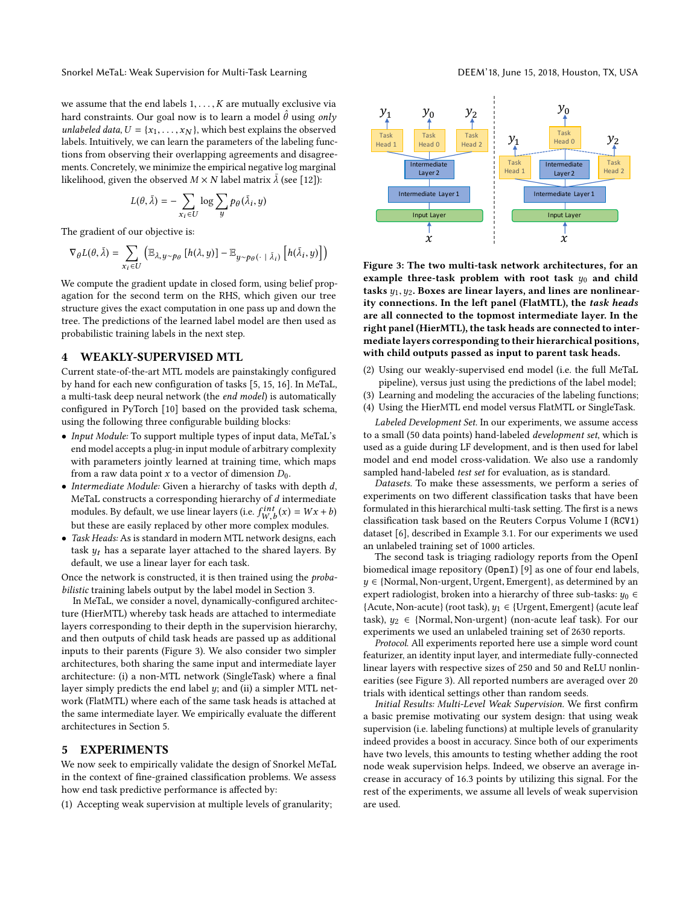we assume that the end labels  $1, \ldots, K$  are mutually exclusive via hard constraints. Our goal now is to learn a model  $\hat{\theta}$  using only unlabeled data,  $U = \{x_1, \ldots, x_N\}$ , which best explains the observed labels. Intuitively, we can learn the parameters of the labeling functions from observing their overlapping agreements and disagreements. Concretely, we minimize the empirical negative log marginal likelihood, given the observed  $M \times N$  label matrix  $\bar{\lambda}$  (see [\[12\]](#page-3-4)):

$$
L(\theta, \bar{\lambda}) = -\sum_{x_i \in U} \log \sum_{y} p_{\theta}(\bar{\lambda}_i, y)
$$

The gradient of our objective is:

$$
\nabla_{\theta} L(\theta, \bar{\lambda}) = \sum_{x_i \in U} (\mathbb{E}_{\lambda, y \sim p_{\theta}} [h(\lambda, y)] - \mathbb{E}_{y \sim p_{\theta}(\cdot | \bar{\lambda}_i)} [h(\bar{\lambda}_i, y)] )
$$

We compute the gradient update in closed form, using belief propagation for the second term on the RHS, which given our tree structure gives the exact computation in one pass up and down the tree. The predictions of the learned label model are then used as probabilistic training labels in the next step.

# <span id="page-2-0"></span>4 WEAKLY-SUPERVISED MTL

Current state-of-the-art MTL models are painstakingly configured by hand for each new configuration of tasks [\[5,](#page-3-6) [15,](#page-3-5) [16\]](#page-3-7). In MeTaL, a multi-task deep neural network (the end model) is automatically configured in PyTorch [\[10\]](#page-3-15) based on the provided task schema, using the following three configurable building blocks:

- Input Module: To support multiple types of input data, MeTaL's end model accepts a plug-in input module of arbitrary complexity with parameters jointly learned at training time, which maps from a raw data point x to a vector of dimension  $D_0$ .
- Intermediate Module: Given a hierarchy of tasks with depth d, MeTaL constructs a corresponding hierarchy of d intermediate modules. By default, we use linear layers (i.e.  $f_{W,b}^{int}(x) = Wx + b$ ) but these are easily replaced by other more complex modules.
- Task Heads: As is standard in modern MTL network designs, each task  $y_t$  has a separate layer attached to the shared layers. By default, we use a linear layer for each task.

Once the network is constructed, it is then trained using the probabilistic training labels output by the label model in Section [3.](#page-1-1)

In MeTaL, we consider a novel, dynamically-configured architecture (HierMTL) whereby task heads are attached to intermediate layers corresponding to their depth in the supervision hierarchy, and then outputs of child task heads are passed up as additional inputs to their parents (Figure [3\)](#page-2-2). We also consider two simpler architectures, both sharing the same input and intermediate layer architecture: (i) a non-MTL network (SingleTask) where a final layer simply predicts the end label  $y$ ; and (ii) a simpler MTL network (FlatMTL) where each of the same task heads is attached at the same intermediate layer. We empirically evaluate the different architectures in Section [5.](#page-2-1)

# <span id="page-2-1"></span>5 EXPERIMENTS

We now seek to empirically validate the design of Snorkel MeTaL in the context of fine-grained classification problems. We assess how end task predictive performance is affected by:

(1) Accepting weak supervision at multiple levels of granularity;

<span id="page-2-2"></span>

Figure 3: The two multi-task network architectures, for an example three-task problem with root task  $y_0$  and child tasks  $y_1, y_2$ . Boxes are linear layers, and lines are nonlinearity connections. In the left panel (FlatMTL), the task heads are all connected to the topmost intermediate layer. In the right panel (HierMTL), the task heads are connected to intermediate layers corresponding to their hierarchical positions, with child outputs passed as input to parent task heads.

- (2) Using our weakly-supervised end model (i.e. the full MeTaL pipeline), versus just using the predictions of the label model;
- (3) Learning and modeling the accuracies of the labeling functions;
- (4) Using the HierMTL end model versus FlatMTL or SingleTask.

Labeled Development Set. In our experiments, we assume access to a small (50 data points) hand-labeled development set, which is used as a guide during LF development, and is then used for label model and end model cross-validation. We also use a randomly sampled hand-labeled test set for evaluation, as is standard.

Datasets. To make these assessments, we perform a series of experiments on two different classification tasks that have been formulated in this hierarchical multi-task setting. The first is a news classification task based on the Reuters Corpus Volume I (RCV1) dataset [\[6\]](#page-3-16), described in Example [3.1.](#page-1-2) For our experiments we used an unlabeled training set of 1000 articles.

The second task is triaging radiology reports from the OpenI biomedical image repository (OpenI) [\[9\]](#page-3-17) as one of four end labels,  $y \in \{Normal, Non-argent, Urgent, Emergent\}$ , as determined by an expert radiologist, broken into a hierarchy of three sub-tasks:  $y_0 \in$ {Acute, Non-acute} (root task),  $y_1 \in$  {Urgent, Emergent} (acute leaf task),  $y_2 \in \{Normal, Non-argent\}$  (non-acute leaf task). For our experiments we used an unlabeled training set of 2630 reports.

Protocol. All experiments reported here use a simple word count featurizer, an identity input layer, and intermediate fully-connected linear layers with respective sizes of 250 and 50 and ReLU nonlinearities (see Figure [3\)](#page-2-2). All reported numbers are averaged over 20 trials with identical settings other than random seeds.

Initial Results: Multi-Level Weak Supervision. We first confirm a basic premise motivating our system design: that using weak supervision (i.e. labeling functions) at multiple levels of granularity indeed provides a boost in accuracy. Since both of our experiments have two levels, this amounts to testing whether adding the root node weak supervision helps. Indeed, we observe an average increase in accuracy of 16.3 points by utilizing this signal. For the rest of the experiments, we assume all levels of weak supervision are used.